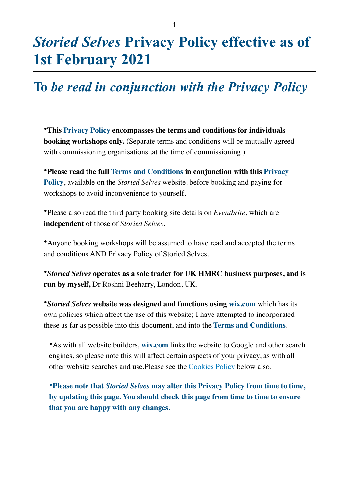# *Storied Selves* **Privacy Policy effective as of 1st February 2021**

# **To** *be read in conjunction with the Privacy Policy*

•**This Privacy Policy encompasses the terms and conditions for individuals booking workshops only.** (Separate terms and conditions will be mutually agreed with commissioning organisations , at the time of commissioning.)

•**Please read the full Terms and Conditions in conjunction with this Privacy Policy**, available on the *Storied Selves* website, before booking and paying for workshops to avoid inconvenience to yourself.

•Please also read the third party booking site details on *Eventbrite*, which are **independent** of those of *Storied Selves*.

•Anyone booking workshops will be assumed to have read and accepted the terms and conditions AND Privacy Policy of Storied Selves.

•*Storied Selves* **operates as a sole trader for UK HMRC business purposes, and is run by myself,** Dr Roshni Beeharry, London, UK.

•*Storied Selves* **website was designed and functions using [wix.com](http://wix.com)** which has its own policies which affect the use of this website; I have attempted to incorporated these as far as possible into this document, and into the **Terms and Conditions**.

•As with all website builders, **[wix.com](http://wix.com)** links the website to Google and other search engines, so please note this will affect certain aspects of your privacy, as with all other website searches and use.Please see the Cookies Policy below also.

•**Please note that** *Storied Selves* **may alter this Privacy Policy from time to time, by updating this page. You should check this page from time to time to ensure that you are happy with any changes.**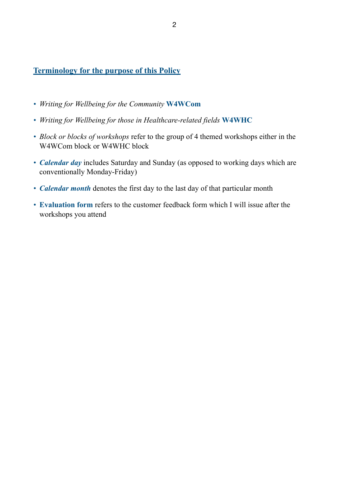## **Terminology for the purpose of this Policy**

- *• Writing for Wellbeing for the Community* **W4WCom**
- *• Writing for Wellbeing for those in Healthcare-related fields* **W4WHC**
- *• Block or blocks of workshops* refer to the group of 4 themed workshops either in the W4WCom block or W4WHC block
- *• Calendar day* includes Saturday and Sunday (as opposed to working days which are conventionally Monday-Friday)
- *• Calendar month* denotes the first day to the last day of that particular month
- *•* **Evaluation form** refers to the customer feedback form which I will issue after the workshops you attend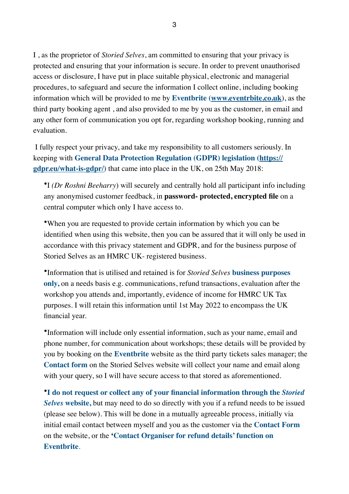I , as the proprietor of *Storied Selves*, am committed to ensuring that your privacy is protected and ensuring that your information is secure. In order to prevent unauthorised access or disclosure, I have put in place suitable physical, electronic and managerial procedures, to safeguard and secure the information I collect online, including booking information which will be provided to me by **Eventbrite [\(www.eventrbite.co.uk](http://www.eventrbite.co.uk)**), as the third party booking agent , and also provided to me by you as the customer, in email and any other form of communication you opt for, regarding workshop booking, running and evaluation.

 I fully respect your privacy, and take my responsibility to all customers seriously. In keeping with **General Data Protection Regulation (GDPR) legislation ([https://](https://gdpr.eu/what-is-gdpr/) [gdpr.eu/what-is-gdpr/](https://gdpr.eu/what-is-gdpr/))** that came into place in the UK, on 25th May 2018:

•I *(Dr Roshni Beeharry*) will securely and centrally hold all participant info including any anonymised customer feedback, in **password- protected, encrypted file** on a central computer which only I have access to.

•When you are requested to provide certain information by which you can be identified when using this website, then you can be assured that it will only be used in accordance with this privacy statement and GDPR, and for the business purpose of Storied Selves as an HMRC UK- registered business.

•Information that is utilised and retained is for *Storied Selves* **business purposes only,** on a needs basis e.g. communications, refund transactions, evaluation after the workshop you attends and, importantly, evidence of income for HMRC UK Tax purposes. I will retain this information until 1st May 2022 to encompass the UK financial year.

•Information will include only essential information, such as your name, email and phone number, for communication about workshops; these details will be provided by you by booking on the **Eventbrite** website as the third party tickets sales manager; the **Contact form** on the Storied Selves website will collect your name and email along with your query, so I will have secure access to that stored as aforementioned.

•**I do not request or collect any of your financial information through the** *Storied Selves* **website,** but may need to do so directly with you if a refund needs to be issued (please see below). This will be done in a mutually agreeable process, initially via initial email contact between myself and you as the customer via the **Contact Form** on the website, or the **'Contact Organiser for refund details' function on Eventbrite**.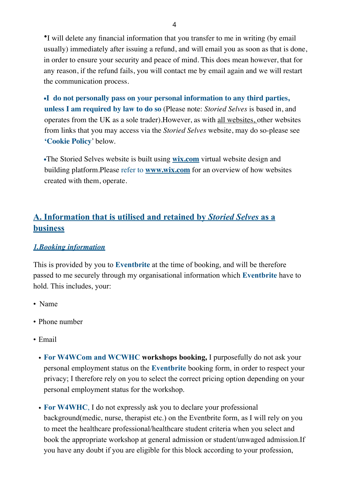•I will delete any financial information that you transfer to me in writing (by email usually) immediately after issuing a refund, and will email you as soon as that is done, in order to ensure your security and peace of mind. This does mean however, that for any reason, if the refund fails, you will contact me by email again and we will restart the communication process.

•**I do not personally pass on your personal information to any third parties, unless I am required by law to do so** (Please note: *Storied Selves* is based in, and operates from the UK as a sole trader).However, as with all websites, other websites from links that you may access via the *Storied Selves* website, may do so-please see **'Cookie Policy**' below.

•The Storied Selves website is built using **[wix.com](http://wix.com)** virtual website design and building platform.Please refer to **[www.wix.com](http://www.wix.com)** for an overview of how websites created with them, operate.

# **A. Information that is utilised and retained by** *Storied Selves* **as a business**

#### *1.Booking information*

This is provided by you to **Eventbrite** at the time of booking, and will be therefore passed to me securely through my organisational information which **Eventbrite** have to hold. This includes, your:

- Name
- Phone number
- Email
	- **For W4WCom and WCWHC workshops booking,** I purposefully do not ask your personal employment status on the **Eventbrite** booking form, in order to respect your privacy; I therefore rely on you to select the correct pricing option depending on your personal employment status for the workshop.
	- For W4WHC, I do not expressly ask you to declare your professional background(medic, nurse, therapist etc.) on the Eventbrite form, as I will rely on you to meet the healthcare professional/healthcare student criteria when you select and book the appropriate workshop at general admission or student/unwaged admission.If you have any doubt if you are eligible for this block according to your profession,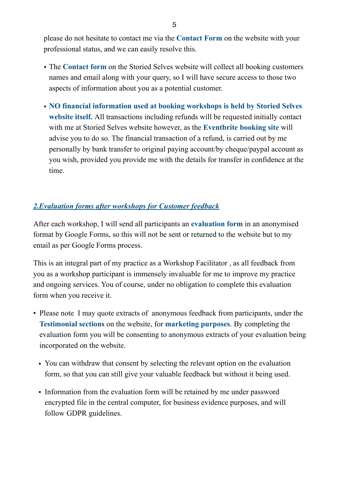please do not hesitate to contact me via the **Contact Form** on the website with your professional status, and we can easily resolve this.

- The **Contact form** on the Storied Selves website will collect all booking customers names and email along with your query, so I will have secure access to those two aspects of information about you as a potential customer.
- **• NO financial information used at booking workshops is held by Storied Selves website itself.** All transactions including refunds will be requested initially contact with me at Storied Selves website however, as the **Eventbrite booking site** will advise you to do so. The financial transaction of a refund, is carried out by me personally by bank transfer to original paying account/by cheque/paypal account as you wish, provided you provide me with the details for transfer in confidence at the time.

#### *2.Evaluation forms after workshops for Customer feedback*

After each workshop, I will send all participants an **evaluation form** in an anonymised format by Google Forms, so this will not be sent or returned to the website but to my email as per Google Forms process.

This is an integral part of my practice as a Workshop Facilitator , as all feedback from you as a workshop participant is immensely invaluable for me to improve my practice and ongoing services. You of course, under no obligation to complete this evaluation form when you receive it.

- Please note I may quote extracts of anonymous feedback from participants, under the **Testimonial sections** on the website, for **marketing purposes**. By completing the evaluation form you will be consenting to anonymous extracts of your evaluation being incorporated on the website.
	- You can withdraw that consent by selecting the relevant option on the evaluation form, so that you can still give your valuable feedback but without it being used.
	- Information from the evaluation form will be retained by me under password encrypted file in the central computer, for business evidence purposes, and will follow GDPR guidelines.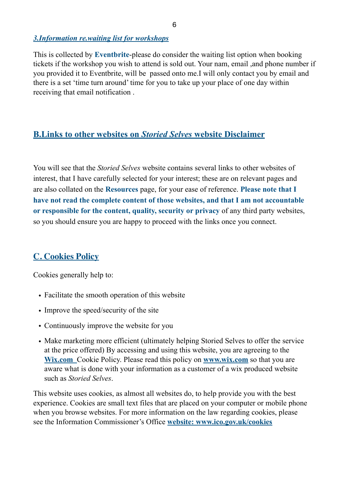#### *3.Information re.waiting list for workshops*

This is collected by **Eventbrite**-please do consider the waiting list option when booking tickets if the workshop you wish to attend is sold out. Your nam, email ,and phone number if you provided it to Eventbrite, will be passed onto me.I will only contact you by email and there is a set 'time turn around' time for you to take up your place of one day within receiving that email notification .

## **B.Links to other websites on** *Storied Selves* **website Disclaimer**

You will see that the *Storied Selves* website contains several links to other websites of interest, that I have carefully selected for your interest; these are on relevant pages and are also collated on the **Resources** page, for your ease of reference. **Please note that I have not read the complete content of those websites, and that I am not accountable or responsible for the content, quality, security or privacy** of any third party websites, so you should ensure you are happy to proceed with the links once you connect.

# **C. Cookies Policy**

Cookies generally help to:

- Facilitate the smooth operation of this website
- Improve the speed/security of the site
- Continuously improve the website for you
- Make marketing more efficient (ultimately helping Storied Selves to offer the service at the price offered) By accessing and using this website, you are agreeing to the **Wix.com** Cookie Policy. Please read this policy on **[www.wix.com](http://wix.com)** so that you are aware what is done with your information as a customer of a wix produced website such as *Storied Selves*.

This website uses cookies, as almost all websites do, to help provide you with the best experience. Cookies are small text files that are placed on your computer or mobile phone when you browse websites. For more information on the law regarding cookies, please see the Information Commissioner's Office **website: [www.ico.gov.uk/cookies](http://www.ico.gov.uk/cookies)**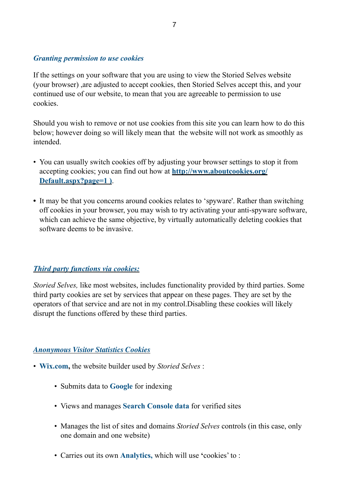#### *Granting permission to use cookies*

If the settings on your software that you are using to view the Storied Selves website (your browser) ,are adjusted to accept cookies, then Storied Selves accept this, and your continued use of our website, to mean that you are agreeable to permission to use cookies.

Should you wish to remove or not use cookies from this site you can learn how to do this below; however doing so will likely mean that the website will not work as smoothly as intended.

- You can usually switch cookies off by adjusting your browser settings to stop it from accepting cookies; you can find out how at **[http://www.aboutcookies.org/](http://www.aboutcookies.org/Default.aspx?page=1) [Default.aspx?page=1](http://www.aboutcookies.org/Default.aspx?page=1) )**.
- It may be that you concerns around cookies relates to 'spyware'. Rather than switching off cookies in your browser, you may wish to try activating your anti-spyware software, which can achieve the same objective, by virtually automatically deleting cookies that software deems to be invasive.

#### *Third party functions via cookies:*

*Storied Selves,* like most websites, includes functionality provided by third parties. Some third party cookies are set by services that appear on these pages. They are set by the operators of that service and are not in my control.Disabling these cookies will likely disrupt the functions offered by these third parties.

#### *Anonymous Visitor Statistics Cookies*

- **Wix.com,** the website builder used by *Storied Selves* :
	- Submits data to **Google** for indexing
	- Views and manages **Search Console data** for verified sites
	- Manages the list of sites and domains *Storied Selves* controls (in this case, only one domain and one website)
	- Carries out its own **Analytics,** which will use **'**cookies' to :